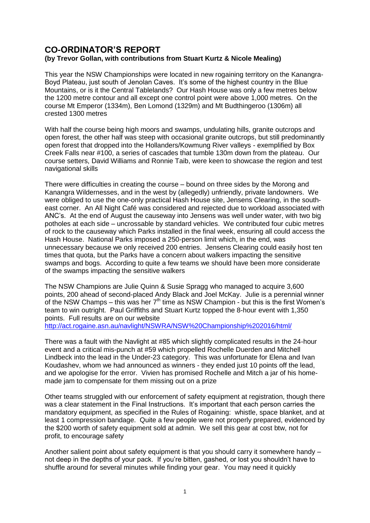## **CO-ORDINATOR'S REPORT (by Trevor Gollan, with contributions from Stuart Kurtz & Nicole Mealing)**

This year the NSW Championships were located in new rogaining territory on the Kanangra-Boyd Plateau, just south of Jenolan Caves. It's some of the highest country in the Blue Mountains, or is it the Central Tablelands? Our Hash House was only a few metres below the 1200 metre contour and all except one control point were above 1,000 metres. On the course Mt Emperor (1334m), Ben Lomond (1329m) and Mt Budthingeroo (1306m) all crested 1300 metres

With half the course being high moors and swamps, undulating hills, granite outcrops and open forest, the other half was steep with occasional granite outcrops, but still predominantly open forest that dropped into the Hollanders/Kowmung River valleys - exemplified by Box Creek Falls near #100, a series of cascades that tumble 130m down from the plateau. Our course setters, David Williams and Ronnie Taib, were keen to showcase the region and test navigational skills

There were difficulties in creating the course – bound on three sides by the Morong and Kanangra Wildernesses, and in the west by (allegedly) unfriendly, private landowners. We were obliged to use the one-only practical Hash House site, Jensens Clearing, in the southeast corner. An All Night Café was considered and rejected due to workload associated with ANC's. At the end of August the causeway into Jensens was well under water, with two big potholes at each side – uncrossable by standard vehicles. We contributed four cubic metres of rock to the causeway which Parks installed in the final week, ensuring all could access the Hash House. National Parks imposed a 250-person limit which, in the end, was unnecessary because we only received 200 entries. Jensens Clearing could easily host ten times that quota, but the Parks have a concern about walkers impacting the sensitive swamps and bogs. According to quite a few teams we should have been more considerate of the swamps impacting the sensitive walkers

The NSW Champions are Julie Quinn & Susie Spragg who managed to acquire 3,600 points, 200 ahead of second-placed Andy Black and Joel McKay. Julie is a perennial winner of the NSW Champs – this was her  $7<sup>th</sup>$  time as NSW Champion - but this is the first Women's team to win outright. Paul Griffiths and Stuart Kurtz topped the 8-hour event with 1,350 points. Full results are on our website

<http://act.rogaine.asn.au/navlight/NSWRA/NSW%20Championship%202016/html/>

There was a fault with the Navlight at #85 which slightly complicated results in the 24-hour event and a critical mis-punch at #59 which propelled Rochelle Duerden and Mitchell Lindbeck into the lead in the Under-23 category. This was unfortunate for Elena and Ivan Koudashev, whom we had announced as winners - they ended just 10 points off the lead, and we apologise for the error. Vivien has promised Rochelle and Mitch a jar of his homemade jam to compensate for them missing out on a prize

Other teams struggled with our enforcement of safety equipment at registration, though there was a clear statement in the Final Instructions. It's important that each person carries the mandatory equipment, as specified in the Rules of Rogaining: whistle, space blanket, and at least 1 compression bandage. Quite a few people were not properly prepared, evidenced by the \$200 worth of safety equipment sold at admin. We sell this gear at cost btw, not for profit, to encourage safety

Another salient point about safety equipment is that you should carry it somewhere handy – not deep in the depths of your pack. If you're bitten, gashed, or lost you shouldn't have to shuffle around for several minutes while finding your gear. You may need it quickly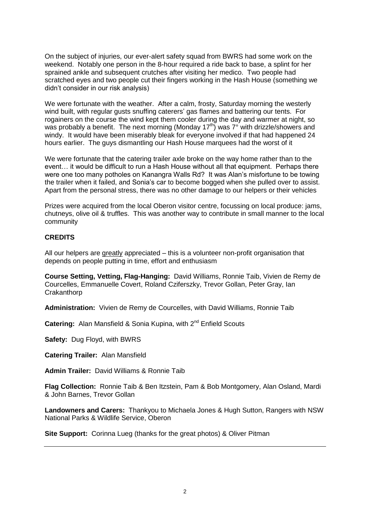On the subject of injuries, our ever-alert safety squad from BWRS had some work on the weekend. Notably one person in the 8-hour required a ride back to base, a splint for her sprained ankle and subsequent crutches after visiting her medico. Two people had scratched eyes and two people cut their fingers working in the Hash House (something we didn't consider in our risk analysis)

We were fortunate with the weather. After a calm, frosty, Saturday morning the westerly wind built, with regular gusts snuffing caterers' gas flames and battering our tents. For rogainers on the course the wind kept them cooler during the day and warmer at night, so was probably a benefit. The next morning (Monday 17<sup>th)</sup> was  $7^\circ$  with drizzle/showers and windy. It would have been miserably bleak for everyone involved if that had happened 24 hours earlier. The guys dismantling our Hash House marquees had the worst of it

We were fortunate that the catering trailer axle broke on the way home rather than to the event… it would be difficult to run a Hash House without all that equipment. Perhaps there were one too many potholes on Kanangra Walls Rd? It was Alan's misfortune to be towing the trailer when it failed, and Sonia's car to become bogged when she pulled over to assist. Apart from the personal stress, there was no other damage to our helpers or their vehicles

Prizes were acquired from the local Oberon visitor centre, focussing on local produce: jams, chutneys, olive oil & truffles. This was another way to contribute in small manner to the local community

## **CREDITS**

All our helpers are greatly appreciated – this is a volunteer non-profit organisation that depends on people putting in time, effort and enthusiasm

**Course Setting, Vetting, Flag-Hanging:** David Williams, Ronnie Taib, Vivien de Remy de Courcelles, Emmanuelle Covert, Roland Cziferszky, Trevor Gollan, Peter Gray, Ian **Crakanthorp** 

**Administration:** Vivien de Remy de Courcelles, with David Williams, Ronnie Taib

**Catering:** Alan Mansfield & Sonia Kupina, with 2<sup>nd</sup> Enfield Scouts

**Safety:** Dug Floyd, with BWRS

**Catering Trailer:** Alan Mansfield

**Admin Trailer:** David Williams & Ronnie Taib

**Flag Collection:** Ronnie Taib & Ben Itzstein, Pam & Bob Montgomery, Alan Osland, Mardi & John Barnes, Trevor Gollan

**Landowners and Carers:** Thankyou to Michaela Jones & Hugh Sutton, Rangers with NSW National Parks & Wildlife Service, Oberon

**Site Support:** Corinna Lueg (thanks for the great photos) & Oliver Pitman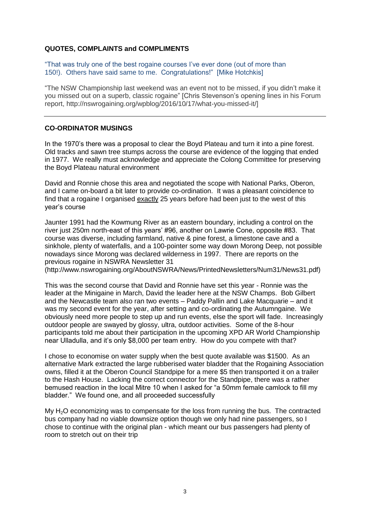## **QUOTES, COMPLAINTS and COMPLIMENTS**

"That was truly one of the best rogaine courses I've ever done (out of more than 150!). Others have said same to me. Congratulations!" [Mike Hotchkis]

"The NSW Championship last weekend was an event not to be missed, if you didn't make it you missed out on a superb, classic rogaine" [Chris Stevenson's opening lines in his Forum report, http://nswrogaining.org/wpblog/2016/10/17/what-you-missed-it/]

## **CO-ORDINATOR MUSINGS**

In the 1970's there was a proposal to clear the Boyd Plateau and turn it into a pine forest. Old tracks and sawn tree stumps across the course are evidence of the logging that ended in 1977. We really must acknowledge and appreciate the Colong Committee for preserving the Boyd Plateau natural environment

David and Ronnie chose this area and negotiated the scope with National Parks, Oberon, and I came on-board a bit later to provide co-ordination. It was a pleasant coincidence to find that a rogaine I organised exactly 25 years before had been just to the west of this year's course

Jaunter 1991 had the Kowmung River as an eastern boundary, including a control on the river just 250m north-east of this years' #96, another on Lawrie Cone, opposite #83. That course was diverse, including farmland, native & pine forest, a limestone cave and a sinkhole, plenty of waterfalls, and a 100-pointer some way down Morong Deep, not possible nowadays since Morong was declared wilderness in 1997. There are reports on the previous rogaine in NSWRA Newsletter 31

(http://www.nswrogaining.org/AboutNSWRA/News/PrintedNewsletters/Num31/News31.pdf)

This was the second course that David and Ronnie have set this year - Ronnie was the leader at the Minigaine in March, David the leader here at the NSW Champs. Bob Gilbert and the Newcastle team also ran two events – Paddy Pallin and Lake Macquarie – and it was my second event for the year, after setting and co-ordinating the Autumngaine. We obviously need more people to step up and run events, else the sport will fade. Increasingly outdoor people are swayed by glossy, ultra, outdoor activities. Some of the 8-hour participants told me about their participation in the upcoming XPD AR World Championship near Ulladulla, and it's only \$8,000 per team entry. How do you compete with that?

I chose to economise on water supply when the best quote available was \$1500. As an alternative Mark extracted the large rubberised water bladder that the Rogaining Association owns, filled it at the Oberon Council Standpipe for a mere \$5 then transported it on a trailer to the Hash House. Lacking the correct connector for the Standpipe, there was a rather bemused reaction in the local Mitre 10 when I asked for "a 50mm female camlock to fill my bladder." We found one, and all proceeded successfully

My  $H<sub>2</sub>O$  economizing was to compensate for the loss from running the bus. The contracted bus company had no viable downsize option though we only had nine passengers, so I chose to continue with the original plan - which meant our bus passengers had plenty of room to stretch out on their trip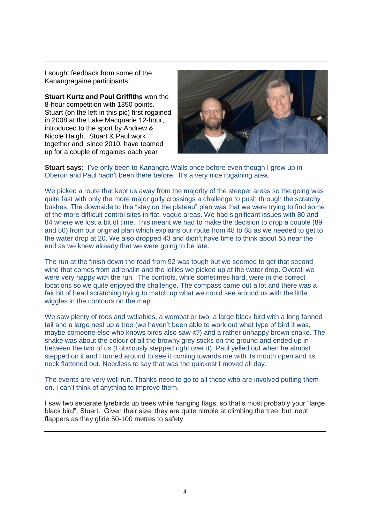I sought feedback from some of the Kanangragaine participants:

**Stuart Kurtz and Paul Griffiths** won the 8-hour competition with 1350 points. Stuart (on the left in this pic) first rogained in 2008 at the Lake Macquarie 12-hour, introduced to the sport by Andrew & Nicole Haigh. Stuart & Paul work together and, since 2010, have teamed up for a couple of rogaines each year



**Stuart says:** I've only been to Kanangra Walls once before even though I grew up in Oberon and Paul hadn't been there before. It's a very nice rogaining area.

We picked a route that kept us away from the majority of the steeper areas so the going was quite fast with only the more major gully crossings a challenge to push through the scratchy bushes. The downside to this "stay on the plateau" plan was that we were trying to find some of the more difficult control sites in flat, vague areas. We had significant issues with 80 and 84 where we lost a bit of time. This meant we had to make the decision to drop a couple (89 and 50) from our original plan which explains our route from 48 to 68 as we needed to get to the water drop at 20. We also dropped 43 and didn't have time to think about 53 near the end as we knew already that we were going to be late.

The run at the finish down the road from 92 was tough but we seemed to get that second wind that comes from adrenalin and the lollies we picked up at the water drop. Overall we were very happy with the run. The controls, while sometimes hard, were in the correct locations so we quite enjoyed the challenge. The compass came out a lot and there was a fair bit of head scratching trying to match up what we could see around us with the little wiggles in the contours on the map.

We saw plenty of roos and wallabies, a wombat or two, a large black bird with a long fanned tail and a large nest up a tree (we haven't been able to work out what type of bird it was, maybe someone else who knows birds also saw it?) and a rather unhappy brown snake. The snake was about the colour of all the browny grey sticks on the ground and ended up in between the two of us (I obviously stepped right over it). Paul yelled out when he almost stepped on it and I turned around to see it coming towards me with its mouth open and its neck flattened out. Needless to say that was the quickest I moved all day.

The events are very well run. Thanks need to go to all those who are involved putting them on. I can't think of anything to improve them.

I saw two separate lyrebirds up trees while hanging flags, so that's most probably your "large black bird", Stuart. Given their size, they are quite nimble at climbing the tree, but inept flappers as they glide 50-100 metres to safety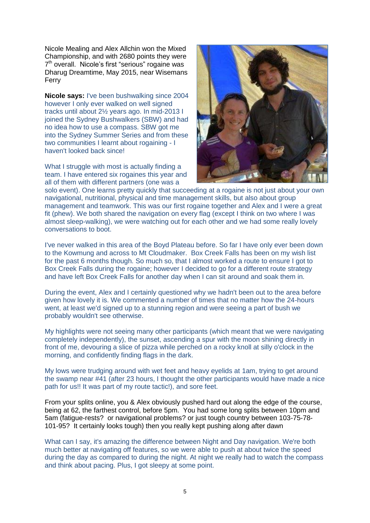Nicole Mealing and Alex Allchin won the Mixed Championship, and with 2680 points they were 7<sup>th</sup> overall. Nicole's first "serious" rogaine was Dharug Dreamtime, May 2015, near Wisemans Ferry

**Nicole says:** I've been bushwalking since 2004 however I only ever walked on well signed tracks until about 2½ years ago. In mid-2013 I joined the Sydney Bushwalkers (SBW) and had no idea how to use a compass. SBW got me into the Sydney Summer Series and from these two communities I learnt about rogaining - I haven't looked back since!

What I struggle with most is actually finding a team. I have entered six rogaines this year and all of them with different partners (one was a



solo event). One learns pretty quickly that succeeding at a rogaine is not just about your own navigational, nutritional, physical and time management skills, but also about group management and teamwork. This was our first rogaine together and Alex and I were a great fit (phew). We both shared the navigation on every flag (except I think on two where I was almost sleep-walking), we were watching out for each other and we had some really lovely conversations to boot.

I've never walked in this area of the Boyd Plateau before. So far I have only ever been down to the Kowmung and across to Mt Cloudmaker. Box Creek Falls has been on my wish list for the past 6 months though. So much so, that I almost worked a route to ensure I got to Box Creek Falls during the rogaine; however I decided to go for a different route strategy and have left Box Creek Falls for another day when I can sit around and soak them in.

During the event, Alex and I certainly questioned why we hadn't been out to the area before given how lovely it is. We commented a number of times that no matter how the 24-hours went, at least we'd signed up to a stunning region and were seeing a part of bush we probably wouldn't see otherwise.

My highlights were not seeing many other participants (which meant that we were navigating completely independently), the sunset, ascending a spur with the moon shining directly in front of me, devouring a slice of pizza while perched on a rocky knoll at silly o'clock in the morning, and confidently finding flags in the dark.

My lows were trudging around with wet feet and heavy eyelids at 1am, trying to get around the swamp near #41 (after 23 hours, I thought the other participants would have made a nice path for us!! It was part of my route tactic!), and sore feet.

From your splits online, you & Alex obviously pushed hard out along the edge of the course, being at 62, the farthest control, before 5pm. You had some long splits between 10pm and 5am (fatigue-rests? or navigational problems? or just tough country between 103-75-78- 101-95? It certainly looks tough) then you really kept pushing along after dawn

What can I say, it's amazing the difference between Night and Day navigation. We're both much better at navigating off features, so we were able to push at about twice the speed during the day as compared to during the night. At night we really had to watch the compass and think about pacing. Plus, I got sleepy at some point.